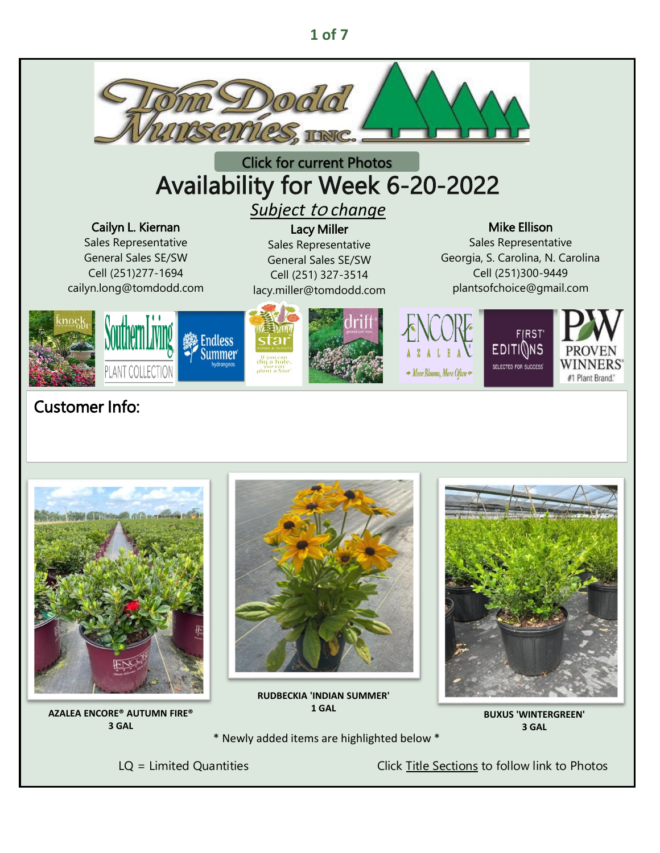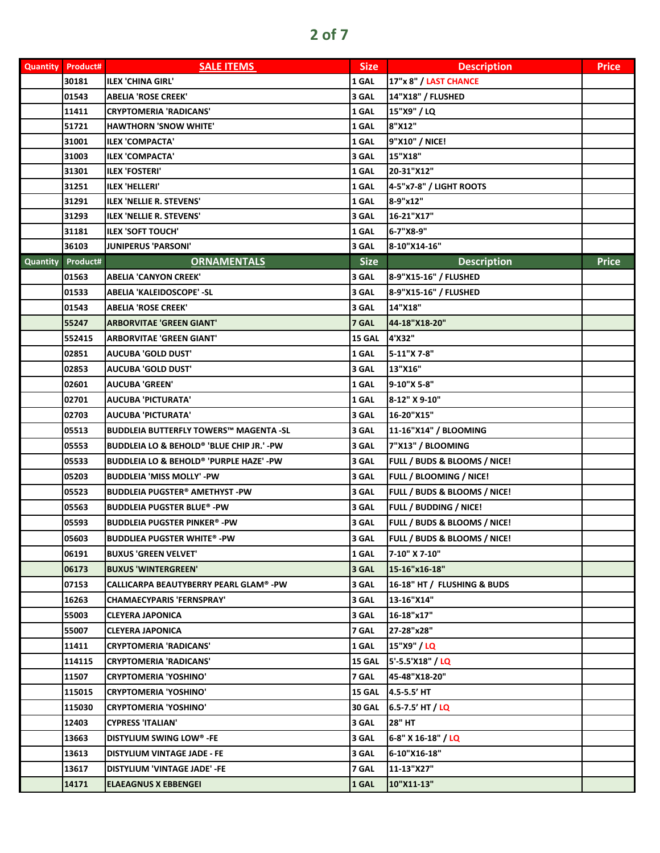| <b>Quantity</b> | <b>Product#</b>   | <b>SALE ITEMS</b>                                    | Size          | <b>Description</b>                      | <b>Price</b> |
|-----------------|-------------------|------------------------------------------------------|---------------|-----------------------------------------|--------------|
|                 | 30181             | <b>ILEX 'CHINA GIRL'</b>                             | 1 GAL         | 17"x 8" / LAST CHANCE                   |              |
|                 | 01543             | <b>ABELIA 'ROSE CREEK'</b>                           | 3 GAL         | 14"X18" / FLUSHED                       |              |
|                 | 11411             | <b>CRYPTOMERIA 'RADICANS'</b>                        | 1 GAL         | 15"X9" / LQ                             |              |
|                 | 51721             | <b>HAWTHORN 'SNOW WHITE'</b>                         | 1 GAL         | 8"X12"                                  |              |
|                 | 31001             | <b>ILEX 'COMPACTA'</b>                               | 1 GAL         | 9"X10" / NICE!                          |              |
|                 | 31003             | ILEX 'COMPACTA'                                      | 3 GAL         | 15"X18"                                 |              |
|                 | 31301             | <b>ILEX 'FOSTERI'</b>                                | 1 GAL         | 20-31"X12"                              |              |
|                 | 31251             | <b>ILEX 'HELLERI'</b>                                | 1 GAL         | 4-5"x7-8" / LIGHT ROOTS                 |              |
|                 | 31291             | ILEX 'NELLIE R. STEVENS'                             | 1 GAL         | 8-9"x12"                                |              |
|                 | 31293             | <b>ILEX 'NELLIE R. STEVENS'</b>                      | 3 GAL         | 16-21"X17"                              |              |
|                 | 31181             | <b>ILEX 'SOFT TOUCH'</b>                             | 1 GAL         | 6-7"X8-9"                               |              |
|                 | 36103             | <b>JUNIPERUS 'PARSONI'</b>                           | 3 GAL         | 8-10"X14-16"                            |              |
|                 | Quantity Product# | <b>ORNAMENTALS</b>                                   | <b>Size</b>   | <b>Description</b>                      | <b>Price</b> |
|                 | 01563             | <b>ABELIA 'CANYON CREEK'</b>                         | 3 GAL         | 8-9"X15-16" / FLUSHED                   |              |
|                 | 01533             | ABELIA 'KALEIDOSCOPE' -SL                            | 3 GAL         | 8-9"X15-16" / FLUSHED                   |              |
|                 | 01543             | ABELIA 'ROSE CREEK'                                  | 3 GAL         | 14"X18"                                 |              |
|                 | 55247             | <b>ARBORVITAE 'GREEN GIANT'</b>                      | 7 GAL         | 44-18"X18-20"                           |              |
|                 | 552415            | <b>ARBORVITAE 'GREEN GIANT'</b>                      | 15 GAL        | 4'X32"                                  |              |
|                 | 02851             | <b>AUCUBA 'GOLD DUST'</b>                            | 1 GAL         | 5-11"X 7-8"                             |              |
|                 | 02853             | AUCUBA 'GOLD DUST'                                   | 3 GAL         | 13"X16"                                 |              |
|                 | 02601             | AUCUBA 'GREEN'                                       | 1 GAL         | 9-10"X 5-8"                             |              |
|                 | 02701             | <b>AUCUBA 'PICTURATA'</b>                            | 1 GAL         | 8-12" X 9-10"                           |              |
|                 | 02703             | <b>AUCUBA 'PICTURATA'</b>                            | 3 GAL         | 16-20"X15"                              |              |
|                 | 05513             | BUDDLEIA BUTTERFLY TOWERS™ MAGENTA -SL               | 3 GAL         | 11-16"X14" / BLOOMING                   |              |
|                 | 05553             | <b>BUDDLEIA LO &amp; BEHOLD® 'BLUE CHIP JR.' -PW</b> | 3 GAL         | 7"X13" / BLOOMING                       |              |
|                 | 05533             | BUDDLEIA LO & BEHOLD® 'PURPLE HAZE' -PW              | 3 GAL         | FULL / BUDS & BLOOMS / NICE!            |              |
|                 | 05203             | <b>BUDDLEIA 'MISS MOLLY' -PW</b>                     | 3 GAL         | FULL / BLOOMING / NICE!                 |              |
|                 | 05523             | <b>BUDDLEIA PUGSTER® AMETHYST -PW</b>                | 3 GAL         | FULL / BUDS & BLOOMS / NICE!            |              |
|                 | 05563             | <b>BUDDLEIA PUGSTER BLUE® -PW</b>                    | 3 GAL         | FULL / BUDDING / NICE!                  |              |
|                 | 05593             | <b>BUDDLEIA PUGSTER PINKER®-PW</b>                   | 3 GAL         | FULL / BUDS & BLOOMS / NICE!            |              |
|                 | 05603             | <b>BUDDLIEA PUGSTER WHITE® -PW</b>                   | 3 GAL         | <b>FULL / BUDS &amp; BLOOMS / NICE!</b> |              |
|                 | 06191             | <b>BUXUS 'GREEN VELVET'</b>                          | 1 GAL         | 7-10" X 7-10"                           |              |
|                 | 06173             | <b>BUXUS 'WINTERGREEN'</b>                           | 3 GAL         | $15 - 16"$ x $16 - 18"$                 |              |
|                 | 07153             | <b>CALLICARPA BEAUTYBERRY PEARL GLAM® -PW</b>        | 3 GAL         | 16-18" HT / FLUSHING & BUDS             |              |
|                 | 16263             | <b>CHAMAECYPARIS 'FERNSPRAY'</b>                     | 3 GAL         | 13-16"X14"                              |              |
|                 | 55003             | CLEYERA JAPONICA                                     | 3 GAL         | 16-18"x17"                              |              |
|                 | 55007             | <b>CLEYERA JAPONICA</b>                              | 7 GAL         | 27-28"x28"                              |              |
|                 | 11411             | <b>CRYPTOMERIA 'RADICANS'</b>                        | 1 GAL         | 15"X9" / LQ                             |              |
|                 | 114115            | <b>CRYPTOMERIA 'RADICANS'</b>                        | 15 GAL        | 5'-5.5'X18" / LQ                        |              |
|                 | 11507             | <b>CRYPTOMERIA 'YOSHINO'</b>                         | 7 GAL         | 45-48"X18-20"                           |              |
|                 | 115015            | <b>CRYPTOMERIA 'YOSHINO'</b>                         | 15 GAL        | 4.5-5.5' HT                             |              |
|                 | 115030            | <b>CRYPTOMERIA 'YOSHINO'</b>                         | <b>30 GAL</b> | 6.5-7.5' HT / LQ                        |              |
|                 | 12403             | <b>CYPRESS 'ITALIAN'</b>                             | 3 GAL         | 28" HT                                  |              |
|                 | 13663             | <b>DISTYLIUM SWING LOW® -FE</b>                      | 3 GAL         | 6-8" X 16-18" / LQ                      |              |
|                 | 13613             | DISTYLIUM VINTAGE JADE - FE                          | 3 GAL         | 6-10"X16-18"                            |              |
|                 | 13617             | DISTYLIUM 'VINTAGE JADE' -FE                         | 7 GAL         | 11-13"X27"                              |              |
|                 | 14171             | <b>ELAEAGNUS X EBBENGEI</b>                          | 1 GAL         | 10"X11-13"                              |              |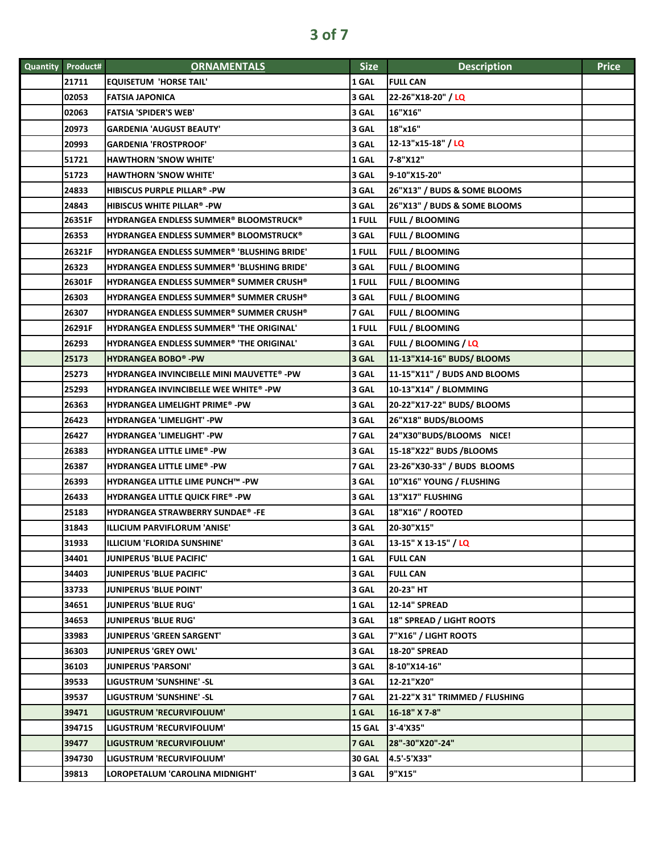| Quantity Product# | <b>ORNAMENTALS</b>                               | <b>Size</b>   | <b>Description</b>              | <b>Price</b> |
|-------------------|--------------------------------------------------|---------------|---------------------------------|--------------|
| 21711             | <b>EQUISETUM 'HORSE TAIL'</b>                    | 1 GAL         | <b>FULL CAN</b>                 |              |
| 02053             | <b>FATSIA JAPONICA</b>                           | 3 GAL         | 22-26"X18-20" / LQ              |              |
| 02063             | <b>FATSIA 'SPIDER'S WEB'</b>                     | 3 GAL         | 16"X16"                         |              |
| 20973             | GARDENIA 'AUGUST BEAUTY'                         | 3 GAL         | 18"x16"                         |              |
| 20993             | <b>GARDENIA 'FROSTPROOF'</b>                     | 3 GAL         | 12-13"x15-18" / LQ              |              |
| 51721             | <b>HAWTHORN 'SNOW WHITE'</b>                     | 1 GAL         | 7-8"X12"                        |              |
| 51723             | HAWTHORN 'SNOW WHITE'                            | 3 GAL         | 9-10"X15-20"                    |              |
| 24833             | HIBISCUS PURPLE PILLAR® -PW                      | 3 GAL         | 26"X13" / BUDS & SOME BLOOMS    |              |
| 24843             | HIBISCUS WHITE PILLAR® -PW                       | 3 GAL         | 26"X13" / BUDS & SOME BLOOMS    |              |
| 26351F            | <b>HYDRANGEA ENDLESS SUMMER® BLOOMSTRUCK®</b>    | 1 FULL        | <b>FULL / BLOOMING</b>          |              |
| 26353             | HYDRANGEA ENDLESS SUMMER® BLOOMSTRUCK®           | 3 GAL         | <b>FULL / BLOOMING</b>          |              |
| 26321F            | HYDRANGEA ENDLESS SUMMER® 'BLUSHING BRIDE'       | 1 FULL        | <b>FULL / BLOOMING</b>          |              |
| 26323             | HYDRANGEA ENDLESS SUMMER® 'BLUSHING BRIDE'       | 3 GAL         | <b>FULL / BLOOMING</b>          |              |
| 26301F            | HYDRANGEA ENDLESS SUMMER® SUMMER CRUSH®          | 1 FULL        | <b>FULL / BLOOMING</b>          |              |
| 26303             | HYDRANGEA ENDLESS SUMMER® SUMMER CRUSH®          | 3 GAL         | <b>FULL / BLOOMING</b>          |              |
| 26307             | <b>HYDRANGEA ENDLESS SUMMER® SUMMER CRUSH®</b>   | 7 GAL         | <b>FULL / BLOOMING</b>          |              |
| 26291F            | HYDRANGEA ENDLESS SUMMER® 'THE ORIGINAL'         | 1 FULL        | <b>FULL / BLOOMING</b>          |              |
| 26293             | HYDRANGEA ENDLESS SUMMER® 'THE ORIGINAL'         | 3 GAL         | FULL / BLOOMING / LQ            |              |
| 25173             | <b>HYDRANGEA BOBO®-PW</b>                        | 3 GAL         | 11-13"X14-16" BUDS/ BLOOMS      |              |
| 25273             | <b>HYDRANGEA INVINCIBELLE MINI MAUVETTE® -PW</b> | 3 GAL         | 11-15"X11" / BUDS AND BLOOMS    |              |
| 25293             | HYDRANGEA INVINCIBELLE WEE WHITE® -PW            | 3 GAL         | 10-13"X14" / BLOMMING           |              |
| 26363             | <b>HYDRANGEA LIMELIGHT PRIME® -PW</b>            | 3 GAL         | 20-22"X17-22" BUDS/ BLOOMS      |              |
| 26423             | HYDRANGEA 'LIMELIGHT' -PW                        | 3 GAL         | 26"X18" BUDS/BLOOMS             |              |
| 26427             | <b>HYDRANGEA 'LIMELIGHT' -PW</b>                 | 7 GAL         | 24"X30"BUDS/BLOOMS NICE!        |              |
| 26383             | <b>HYDRANGEA LITTLE LIME® -PW</b>                | 3 GAL         | 15-18"X22" BUDS /BLOOMS         |              |
| 26387             | <b>HYDRANGEA LITTLE LIME® -PW</b>                | 7 GAL         | 23-26"X30-33" / BUDS BLOOMS     |              |
| 26393             | HYDRANGEA LITTLE LIME PUNCH™ -PW                 | 3 GAL         | 10"X16" YOUNG / FLUSHING        |              |
| 26433             | HYDRANGEA LITTLE QUICK FIRE® -PW                 | 3 GAL         | 13"X17" FLUSHING                |              |
| 25183             | <b>HYDRANGEA STRAWBERRY SUNDAE®-FE</b>           | 3 GAL         | 18"X16" / ROOTED                |              |
| 31843             | ILLICIUM PARVIFLORUM 'ANISE'                     | 3 GAL         | 20-30"X15"                      |              |
| 31933             | <b>ILLICIUM 'FLORIDA SUNSHINE'</b>               | 3 GAL         | 13-15" X 13-15" / LQ            |              |
| 34401             | <b>JUNIPERUS 'BLUE PACIFIC'</b>                  | 1 GAL         | <b>FULL CAN</b>                 |              |
| 34403             | <b>JUNIPERUS 'BLUE PACIFIC'</b>                  | 3 GAL         | <b>FULL CAN</b>                 |              |
| 33733             | <b>JUNIPERUS 'BLUE POINT'</b>                    | 3 GAL         | 20-23" HT                       |              |
| 34651             | <b>JUNIPERUS 'BLUE RUG'</b>                      | 1 GAL         | 12-14" SPREAD                   |              |
| 34653             | <b>JUNIPERUS 'BLUE RUG'</b>                      | 3 GAL         | <b>18" SPREAD / LIGHT ROOTS</b> |              |
| 33983             | <b>JUNIPERUS 'GREEN SARGENT'</b>                 | 3 GAL         | 7"X16" / LIGHT ROOTS            |              |
| 36303             | <b>JUNIPERUS 'GREY OWL'</b>                      | 3 GAL         | <b>18-20" SPREAD</b>            |              |
| 36103             | <b>JUNIPERUS 'PARSONI'</b>                       | 3 GAL         | 8-10"X14-16"                    |              |
| 39533             | LIGUSTRUM 'SUNSHINE' -SL                         | 3 GAL         | 12-21"X20"                      |              |
| 39537             | LIGUSTRUM 'SUNSHINE' -SL                         | 7 GAL         | 21-22"X 31" TRIMMED / FLUSHING  |              |
| 39471             | LIGUSTRUM 'RECURVIFOLIUM'                        | 1 GAL         | 16-18" X 7-8"                   |              |
| 394715            | LIGUSTRUM 'RECURVIFOLIUM'                        | 15 GAL        | 3'-4'X35"                       |              |
| 39477             | LIGUSTRUM 'RECURVIFOLIUM'                        | 7 GAL         | 28"-30"X20"-24"                 |              |
| 394730            | LIGUSTRUM 'RECURVIFOLIUM'                        | <b>30 GAL</b> | 4.5'-5'X33"                     |              |
| 39813             | LOROPETALUM 'CAROLINA MIDNIGHT'                  | 3 GAL         | 9"X15"                          |              |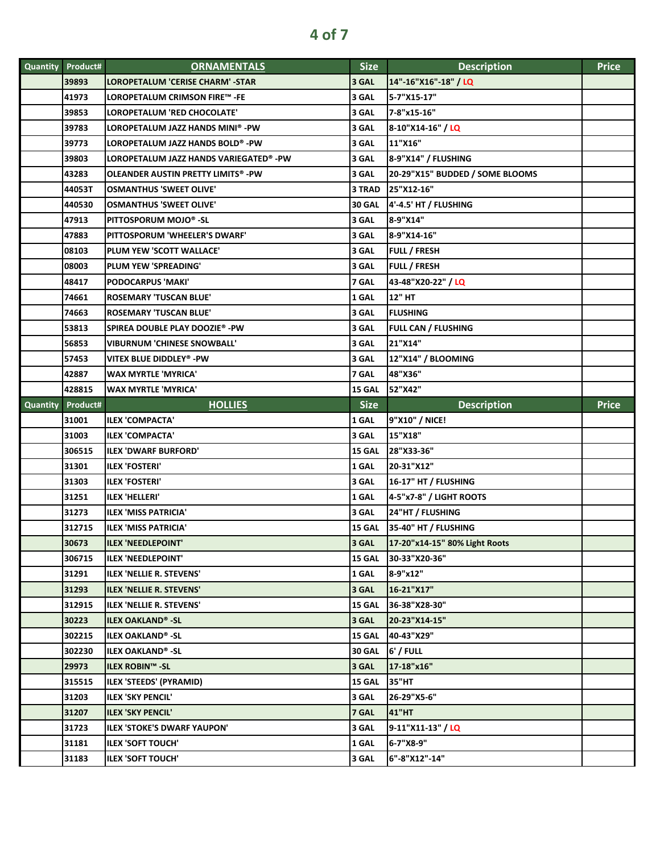|          | Quantity Product# | <b>ORNAMENTALS</b>                     | <b>Size</b>   | <b>Description</b>              | <b>Price</b> |
|----------|-------------------|----------------------------------------|---------------|---------------------------------|--------------|
|          | 39893             | LOROPETALUM 'CERISE CHARM' -STAR       | 3 GAL         | 14"-16"X16"-18" / LQ            |              |
|          | 41973             | LOROPETALUM CRIMSON FIRE™ -FE          | 3 GAL         | 5-7"X15-17"                     |              |
|          | 39853             | LOROPETALUM 'RED CHOCOLATE'            | 3 GAL         | 7-8"x15-16"                     |              |
|          | 39783             | LOROPETALUM JAZZ HANDS MINI® -PW       | 3 GAL         | 8-10"X14-16" / LQ               |              |
|          | 39773             | LOROPETALUM JAZZ HANDS BOLD® -PW       | 3 GAL         | 11"X16"                         |              |
|          | 39803             | LOROPETALUM JAZZ HANDS VARIEGATED® -PW | 3 GAL         | 8-9"X14" / FLUSHING             |              |
|          | 43283             | OLEANDER AUSTIN PRETTY LIMITS® -PW     | 3 GAL         | 20-29"X15" BUDDED / SOME BLOOMS |              |
|          | 44053T            | <b>OSMANTHUS 'SWEET OLIVE'</b>         | 3 TRAD        | 25"X12-16"                      |              |
|          | 440530            | <b>OSMANTHUS 'SWEET OLIVE'</b>         | <b>30 GAL</b> | 4'-4.5' HT / FLUSHING           |              |
|          | 47913             | PITTOSPORUM MOJO® -SL                  | 3 GAL         | 8-9"X14"                        |              |
|          | 47883             | PITTOSPORUM 'WHEELER'S DWARF'          | 3 GAL         | 8-9"X14-16"                     |              |
|          | 08103             | PLUM YEW 'SCOTT WALLACE'               | 3 GAL         | <b>FULL / FRESH</b>             |              |
|          | 08003             | PLUM YEW 'SPREADING'                   | 3 GAL         | FULL / FRESH                    |              |
|          | 48417             | <b>PODOCARPUS 'MAKI'</b>               | 7 GAL         | 43-48"X20-22" / LQ              |              |
|          | 74661             | <b>ROSEMARY 'TUSCAN BLUE'</b>          | 1 GAL         | 12" HT                          |              |
|          | 74663             | <b>ROSEMARY 'TUSCAN BLUE'</b>          | 3 GAL         | <b>FLUSHING</b>                 |              |
|          | 53813             | SPIREA DOUBLE PLAY DOOZIE® -PW         | 3 GAL         | <b>FULL CAN / FLUSHING</b>      |              |
|          | 56853             | VIBURNUM 'CHINESE SNOWBALL'            | 3 GAL         | 21"X14"                         |              |
|          | 57453             | VITEX BLUE DIDDLEY® -PW                | 3 GAL         | 12"X14" / BLOOMING              |              |
|          | 42887             | WAX MYRTLE 'MYRICA'                    | 7 GAL         | 48"X36"                         |              |
|          | 428815            | <b>WAX MYRTLE 'MYRICA'</b>             | <b>15 GAL</b> | 52"X42"                         |              |
| Quantity | Product#          | <b>HOLLIES</b>                         | <b>Size</b>   | <b>Description</b>              | <b>Price</b> |
|          |                   |                                        |               |                                 |              |
|          | 31001             | <b>ILEX 'COMPACTA'</b>                 | 1 GAL         | 9"X10" / NICE!                  |              |
|          | 31003             | <b>ILEX 'COMPACTA'</b>                 | 3 GAL         | 15"X18"                         |              |
|          | 306515            | <b>ILEX 'DWARF BURFORD'</b>            | 15 GAL        | 28"X33-36"                      |              |
|          | 31301             | <b>ILEX 'FOSTERI'</b>                  | 1 GAL         | 20-31"X12"                      |              |
|          | 31303             | <b>ILEX 'FOSTERI'</b>                  | 3 GAL         | 16-17" HT / FLUSHING            |              |
|          | 31251             | <b>ILEX 'HELLERI'</b>                  | 1 GAL         | 4-5"x7-8" / LIGHT ROOTS         |              |
|          | 31273             | <b>ILEX 'MISS PATRICIA'</b>            | 3 GAL         | 24"HT / FLUSHING                |              |
|          | 312715            | ILEX 'MISS PATRICIA'                   | 15 GAL        | 35-40" HT / FLUSHING            |              |
|          | 30673             | ILEX 'NEEDLEPOINT'                     | 3 GAL         | 17-20"x14-15" 80% Light Roots   |              |
|          | 306715            | <b>ILEX 'NEEDLEPOINT'</b>              | 15 GAL        | 30-33"X20-36"                   |              |
|          | 31291             | <b>ILEX 'NELLIE R. STEVENS'</b>        | 1 GAL         | 8-9"x12"                        |              |
|          | 31293             | <b>ILEX 'NELLIE R. STEVENS'</b>        | 3 GAL         | 16-21"X17"                      |              |
|          | 312915            | ILEX 'NELLIE R. STEVENS'               | 15 GAL        | 36-38"X28-30"                   |              |
|          | 30223             | <b>ILEX OAKLAND®-SL</b>                | 3 GAL         | 20-23"X14-15"                   |              |
|          | 302215            | <b>ILEX OAKLAND®-SL</b>                | 15 GAL        | 40-43"X29"                      |              |
|          | 302230            | <b>ILEX OAKLAND<sup>®</sup> -SL</b>    | <b>30 GAL</b> | $6'$ / FULL                     |              |
|          | 29973             | <b>ILEX ROBIN™ -SL</b>                 | 3 GAL         | 17-18"x16"                      |              |
|          | 315515            | ILEX 'STEEDS' (PYRAMID)                | 15 GAL        | 35"HT                           |              |
|          | 31203             | <b>ILEX 'SKY PENCIL'</b>               | 3 GAL         | 26-29"X5-6"                     |              |
|          | 31207             | <b>ILEX 'SKY PENCIL'</b>               | 7 GAL         | 41"HT                           |              |
|          | 31723             | <b>ILEX 'STOKE'S DWARF YAUPON'</b>     | 3 GAL         | 9-11"X11-13" / LQ               |              |
|          | 31181             | <b>ILEX 'SOFT TOUCH'</b>               | 1 GAL         | 6-7"X8-9"                       |              |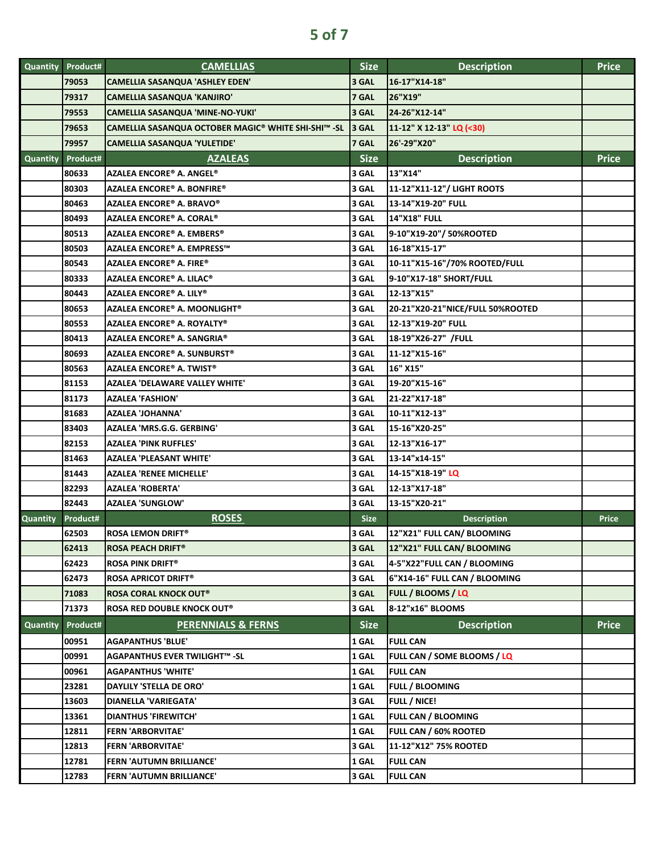|                 | <b>Quantity Product#</b> | <b>CAMELLIAS</b>                                    | <b>Size</b> | <b>Description</b>               | <b>Price</b> |
|-----------------|--------------------------|-----------------------------------------------------|-------------|----------------------------------|--------------|
|                 | 79053                    | <b>CAMELLIA SASANQUA 'ASHLEY EDEN'</b>              | 3 GAL       | 16-17"X14-18"                    |              |
|                 | 79317                    | CAMELLIA SASANQUA 'KANJIRO'                         | 7 GAL       | 26"X19"                          |              |
|                 | 79553                    | CAMELLIA SASANQUA 'MINE-NO-YUKI'                    | 3 GAL       | 24-26"X12-14"                    |              |
|                 | 79653                    | CAMELLIA SASANQUA OCTOBER MAGIC® WHITE SHI-SHI™ -SL | 3 GAL       | 11-12" X 12-13" LQ (<30)         |              |
|                 | 79957                    | CAMELLIA SASANQUA 'YULETIDE'                        | 7 GAL       | 26'-29"X20"                      |              |
| Quantity        | Product#                 | <b>AZALEAS</b>                                      | <b>Size</b> | <b>Description</b>               | <b>Price</b> |
|                 | 80633                    | AZALEA ENCORE® A. ANGEL®                            | 3 GAL       | 13"X14"                          |              |
|                 | 80303                    | AZALEA ENCORE® A. BONFIRE®                          | 3 GAL       | 11-12"X11-12"/ LIGHT ROOTS       |              |
|                 | 80463                    | AZALEA ENCORE® A. BRAVO®                            | 3 GAL       | 13-14"X19-20" FULL               |              |
|                 | 80493                    | <b>AZALEA ENCORE® A. CORAL®</b>                     | 3 GAL       | <b>14"X18" FULL</b>              |              |
|                 | 80513                    | AZALEA ENCORE® A. EMBERS®                           | 3 GAL       | 9-10"X19-20" / 50%ROOTED         |              |
|                 | 80503                    | AZALEA ENCORE® A. EMPRESS™                          | 3 GAL       | 16-18"X15-17"                    |              |
|                 | 80543                    | <b>AZALEA ENCORE® A. FIRE®</b>                      | 3 GAL       | 10-11"X15-16"/70% ROOTED/FULL    |              |
|                 | 80333                    | AZALEA ENCORE® A. LILAC®                            | 3 GAL       | 9-10"X17-18" SHORT/FULL          |              |
|                 | 80443                    | AZALEA ENCORE® A. LILY®                             | 3 GAL       | 12-13"X15"                       |              |
|                 | 80653                    | AZALEA ENCORE® A. MOONLIGHT®                        | 3 GAL       | 20-21"X20-21"NICE/FULL 50%ROOTED |              |
|                 | 80553                    | AZALEA ENCORE® A. ROYALTY®                          | 3 GAL       | 12-13"X19-20" FULL               |              |
|                 | 80413                    | AZALEA ENCORE® A. SANGRIA®                          | 3 GAL       | 18-19"X26-27" /FULL              |              |
|                 | 80693                    | <b>AZALEA ENCORE® A. SUNBURST®</b>                  | 3 GAL       | 11-12"X15-16"                    |              |
|                 | 80563                    | AZALEA ENCORE® A. TWIST®                            | 3 GAL       | 16" X15"                         |              |
|                 | 81153                    | AZALEA 'DELAWARE VALLEY WHITE'                      | 3 GAL       | 19-20"X15-16"                    |              |
|                 | 81173                    | <b>AZALEA 'FASHION'</b>                             | 3 GAL       | 21-22"X17-18"                    |              |
|                 | 81683                    | AZALEA 'JOHANNA'                                    | 3 GAL       | 10-11"X12-13"                    |              |
|                 | 83403                    | AZALEA 'MRS.G.G. GERBING'                           | 3 GAL       | 15-16"X20-25"                    |              |
|                 | 82153                    | <b>AZALEA 'PINK RUFFLES'</b>                        | 3 GAL       | 12-13"X16-17"                    |              |
|                 | 81463                    | AZALEA 'PLEASANT WHITE'                             | 3 GAL       | 13-14"x14-15"                    |              |
|                 | 81443                    | AZALEA 'RENEE MICHELLE'                             | 3 GAL       | 14-15"X18-19" LQ                 |              |
|                 | 82293                    | AZALEA 'ROBERTA'                                    | 3 GAL       | 12-13"X17-18"                    |              |
|                 | 82443                    | <b>AZALEA 'SUNGLOW'</b>                             | 3 GAL       | 13-15"X20-21"                    |              |
| <b>Quantity</b> | Product#                 | <b>ROSES</b>                                        | <b>Size</b> | <b>Description</b>               | <b>Price</b> |
|                 | 62503                    | <b>ROSA LEMON DRIFT®</b>                            | 3 GAL       | 12"X21" FULL CAN/ BLOOMING       |              |
|                 | 62413                    | <b>ROSA PEACH DRIFT®</b>                            | 3 GAL       | 12"X21" FULL CAN/ BLOOMING       |              |
|                 | 62423                    | ROSA PINK DRIFT®                                    | 3 GAL       | 4-5"X22"FULL CAN / BLOOMING      |              |
|                 | 62473                    | <b>ROSA APRICOT DRIFT®</b>                          | 3 GAL       | 6"X14-16" FULL CAN / BLOOMING    |              |
|                 | 71083                    | <b>ROSA CORAL KNOCK OUT®</b>                        | 3 GAL       | <b>FULL / BLOOMS / LQ</b>        |              |
|                 | 71373                    | <b>ROSA RED DOUBLE KNOCK OUT®</b>                   | 3 GAL       | 8-12"x16" BLOOMS                 |              |
| <b>Quantity</b> | Product#                 | <b>PERENNIALS &amp; FERNS</b>                       | <b>Size</b> | <b>Description</b>               | <b>Price</b> |
|                 | 00951                    | <b>AGAPANTHUS 'BLUE'</b>                            | 1 GAL       | <b>FULL CAN</b>                  |              |
|                 | 00991                    | AGAPANTHUS EVER TWILIGHT™ -SL                       | 1 GAL       | FULL CAN / SOME BLOOMS / LQ      |              |
|                 | 00961                    | <b>AGAPANTHUS 'WHITE'</b>                           | 1 GAL       | <b>FULL CAN</b>                  |              |
|                 | 23281                    | DAYLILY 'STELLA DE ORO'                             | 1 GAL       | <b>FULL / BLOOMING</b>           |              |
|                 | 13603                    | DIANELLA 'VARIEGATA'                                | 3 GAL       | FULL / NICE!                     |              |
|                 | 13361                    | <b>DIANTHUS 'FIREWITCH'</b>                         | 1 GAL       | <b>FULL CAN / BLOOMING</b>       |              |
|                 | 12811                    | <b>FERN 'ARBORVITAE'</b>                            | 1 GAL       | <b>FULL CAN / 60% ROOTED</b>     |              |
|                 | 12813                    | <b>FERN 'ARBORVITAE'</b>                            | 3 GAL       | 11-12"X12" 75% ROOTED            |              |
|                 | 12781                    | <b>FERN 'AUTUMN BRILLIANCE'</b>                     | 1 GAL       | <b>FULL CAN</b>                  |              |
|                 | 12783                    | FERN 'AUTUMN BRILLIANCE'                            | 3 GAL       | <b>FULL CAN</b>                  |              |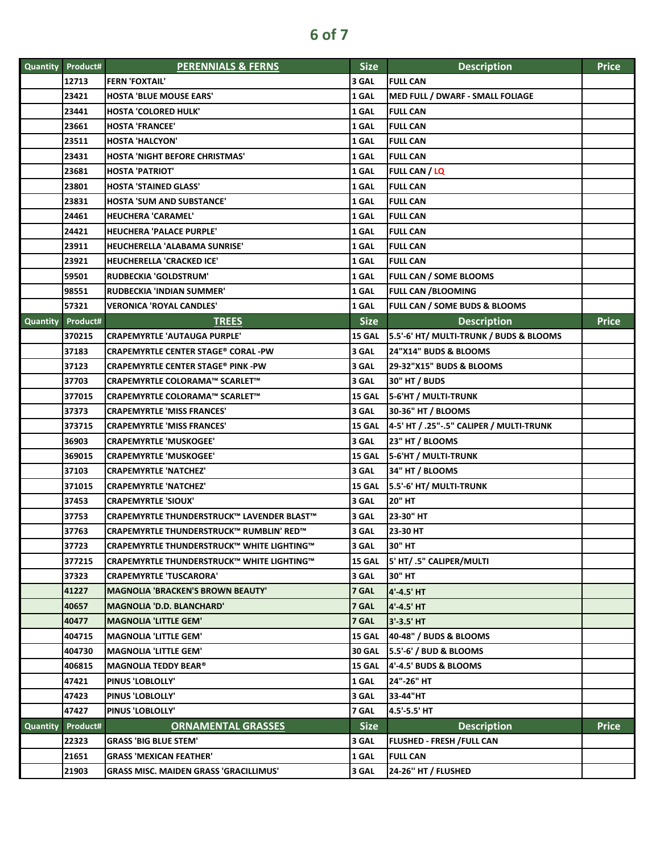| <b>Quantity</b> | Product#          | <b>PERENNIALS &amp; FERNS</b>                 | <b>Size</b>   | <b>Description</b>                       | <b>Price</b> |
|-----------------|-------------------|-----------------------------------------------|---------------|------------------------------------------|--------------|
|                 | 12713             | <b>FERN 'FOXTAIL'</b>                         | 3 GAL         | <b>FULL CAN</b>                          |              |
|                 | 23421             | <b>HOSTA 'BLUE MOUSE EARS'</b>                | 1 GAL         | MED FULL / DWARF - SMALL FOLIAGE         |              |
|                 | 23441             | <b>HOSTA 'COLORED HULK'</b>                   | 1 GAL         | <b>FULL CAN</b>                          |              |
|                 | 23661             | <b>HOSTA 'FRANCEE'</b>                        | 1 GAL         | <b>FULL CAN</b>                          |              |
|                 | 23511             | <b>HOSTA 'HALCYON'</b>                        | 1 GAL         | <b>FULL CAN</b>                          |              |
|                 | 23431             | <b>HOSTA 'NIGHT BEFORE CHRISTMAS'</b>         | 1 GAL         | <b>FULL CAN</b>                          |              |
|                 | 23681             | <b>HOSTA 'PATRIOT'</b>                        | 1 GAL         | FULL CAN / LQ                            |              |
|                 | 23801             | <b>HOSTA 'STAINED GLASS'</b>                  | 1 GAL         | <b>FULL CAN</b>                          |              |
|                 | 23831             | <b>HOSTA 'SUM AND SUBSTANCE'</b>              | 1 GAL         | <b>FULL CAN</b>                          |              |
|                 | 24461             | HEUCHERA 'CARAMEL'                            | 1 GAL         | <b>FULL CAN</b>                          |              |
|                 | 24421             | <b>HEUCHERA 'PALACE PURPLE'</b>               | 1 GAL         | <b>FULL CAN</b>                          |              |
|                 | 23911             | HEUCHERELLA 'ALABAMA SUNRISE'                 | 1 GAL         | <b>FULL CAN</b>                          |              |
|                 | 23921             | HEUCHERELLA 'CRACKED ICE'                     | 1 GAL         | <b>FULL CAN</b>                          |              |
|                 | 59501             | <b>RUDBECKIA 'GOLDSTRUM'</b>                  | 1 GAL         | <b>FULL CAN / SOME BLOOMS</b>            |              |
|                 | 98551             | RUDBECKIA 'INDIAN SUMMER'                     | 1 GAL         | <b>FULL CAN /BLOOMING</b>                |              |
|                 | 57321             | <b>VERONICA 'ROYAL CANDLES'</b>               | 1 GAL         | FULL CAN / SOME BUDS & BLOOMS            |              |
|                 | Quantity Product# | <b>TREES</b>                                  | <b>Size</b>   | <b>Description</b>                       | <b>Price</b> |
|                 | 370215            | <b>CRAPEMYRTLE 'AUTAUGA PURPLE'</b>           | 15 GAL        | 5.5'-6' HT/ MULTI-TRUNK / BUDS & BLOOMS  |              |
|                 | 37183             | <b>CRAPEMYRTLE CENTER STAGE® CORAL -PW</b>    | 3 GAL         | 24"X14" BUDS & BLOOMS                    |              |
|                 | 37123             | CRAPEMYRTLE CENTER STAGE® PINK -PW            | 3 GAL         | 29-32"X15" BUDS & BLOOMS                 |              |
|                 | 37703             | CRAPEMYRTLE COLORAMA™ SCARLET™                | 3 GAL         | <b>30" HT / BUDS</b>                     |              |
|                 | 377015            | CRAPEMYRTLE COLORAMA™ SCARLET™                | <b>15 GAL</b> | 5-6'HT / MULTI-TRUNK                     |              |
|                 | 37373             | <b>CRAPEMYRTLE 'MISS FRANCES'</b>             | 3 GAL         | 30-36" HT / BLOOMS                       |              |
|                 | 373715            | <b>CRAPEMYRTLE 'MISS FRANCES'</b>             | <b>15 GAL</b> | 4-5' HT / .25"-.5" CALIPER / MULTI-TRUNK |              |
|                 | 36903             | <b>CRAPEMYRTLE 'MUSKOGEE'</b>                 | 3 GAL         | 23" HT / BLOOMS                          |              |
|                 | 369015            | <b>CRAPEMYRTLE 'MUSKOGEE'</b>                 | <b>15 GAL</b> | 5-6'HT / MULTI-TRUNK                     |              |
|                 | 37103             | <b>CRAPEMYRTLE 'NATCHEZ'</b>                  | 3 GAL         | 34" HT / BLOOMS                          |              |
|                 | 371015            | <b>CRAPEMYRTLE 'NATCHEZ'</b>                  | <b>15 GAL</b> | 5.5'-6' HT/ MULTI-TRUNK                  |              |
|                 | 37453             | <b>CRAPEMYRTLE 'SIOUX'</b>                    | 3 GAL         | <b>20" HT</b>                            |              |
|                 | 37753             | CRAPEMYRTLE THUNDERSTRUCK™ LAVENDER BLAST™    | 3 GAL         | 23-30" HT                                |              |
|                 | 37763             | CRAPEMYRTLE THUNDERSTRUCK™ RUMBLIN' RED™      | 3 GAL         | 23-30 HT                                 |              |
|                 | 37723             | CRAPEMYRTLE THUNDERSTRUCK™ WHITE LIGHTING™    | 3 GAL         | 30" HT                                   |              |
|                 | 377215            | CRAPEMYRTLE THUNDERSTRUCK™ WHITE LIGHTING™    | 15 GAL        | 5' HT/ .5" CALIPER/MULTI                 |              |
|                 | 37323             | <b>CRAPEMYRTLE 'TUSCARORA'</b>                | 3 GAL         | 30" HT                                   |              |
|                 | 41227             | <b>MAGNOLIA 'BRACKEN'S BROWN BEAUTY'</b>      | 7 GAL         | 4'-4.5' HT                               |              |
|                 | 40657             | <b>MAGNOLIA 'D.D. BLANCHARD'</b>              | 7 GAL         | 4'-4.5' HT                               |              |
|                 | 40477             | <b>MAGNOLIA 'LITTLE GEM'</b>                  | 7 GAL         | 3'-3.5' HT                               |              |
|                 | 404715            | <b>MAGNOLIA 'LITTLE GEM'</b>                  | 15 GAL        | 40-48" / BUDS & BLOOMS                   |              |
|                 | 404730            | <b>MAGNOLIA 'LITTLE GEM'</b>                  | <b>30 GAL</b> | 5.5'-6' / BUD & BLOOMS                   |              |
|                 | 406815            | <b>MAGNOLIA TEDDY BEAR®</b>                   | 15 GAL        | 4'-4.5' BUDS & BLOOMS                    |              |
|                 | 47421             | PINUS 'LOBLOLLY'                              | 1 GAL         | 24"-26" HT                               |              |
|                 | 47423             | PINUS 'LOBLOLLY'                              | 3 GAL         | 33-44"HT                                 |              |
|                 | 47427             | PINUS 'LOBLOLLY'                              | 7 GAL         | 4.5'-5.5' HT                             |              |
| <b>Quantity</b> | Product#          | <b>ORNAMENTAL GRASSES</b>                     | <b>Size</b>   | <b>Description</b>                       | <b>Price</b> |
|                 | 22323             | <b>GRASS 'BIG BLUE STEM'</b>                  | 3 GAL         | <b>FLUSHED - FRESH /FULL CAN</b>         |              |
|                 | 21651             | <b>GRASS 'MEXICAN FEATHER'</b>                | 1 GAL         | <b>FULL CAN</b>                          |              |
|                 | 21903             | <b>GRASS MISC. MAIDEN GRASS 'GRACILLIMUS'</b> | 3 GAL         | 24-26" HT / FLUSHED                      |              |